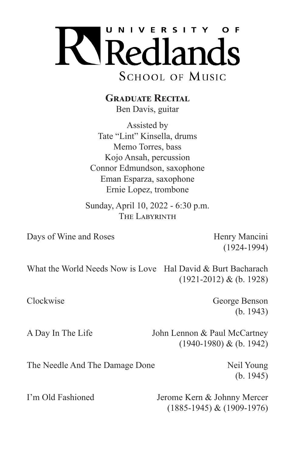

**GRADUATE RECITAL** Ben Davis, guitar

Assisted by Tate "Lint" Kinsella, drums Memo Torres, bass Kojo Ansah, percussion Connor Edmundson, saxophone Eman Esparza, saxophone Ernie Lopez, trombone

Sunday, April 10, 2022 - 6:30 p.m. THE LABYRINTH

Days of Wine and Roses Henry Mancini

(1924-1994)

What the World Needs Now is Love Hal David & Burt Bacharach (1921-2012) & (b. 1928)

Clockwise George Benson (b. 1943)

A Day In The Life John Lennon & Paul McCartney (1940-1980) & (b. 1942)

The Needle And The Damage Done Neil Young

(b. 1945)

I'm Old Fashioned Jerome Kern & Johnny Mercer (1885-1945) & (1909-1976)